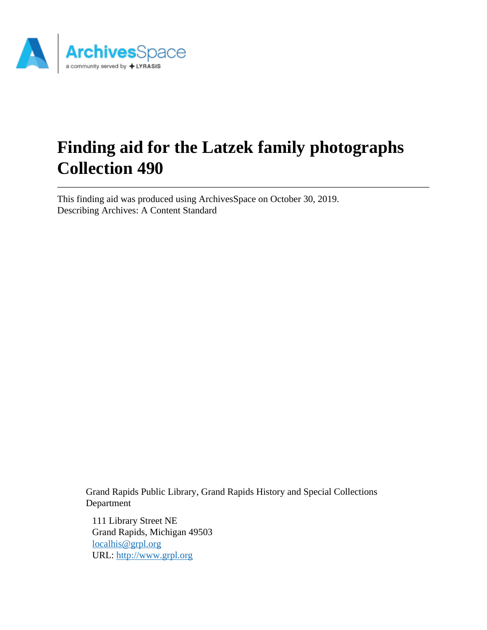

# **Finding aid for the Latzek family photographs Collection 490**

This finding aid was produced using ArchivesSpace on October 30, 2019. Describing Archives: A Content Standard

> Grand Rapids Public Library, Grand Rapids History and Special Collections Department

111 Library Street NE Grand Rapids, Michigan 49503 [localhis@grpl.org](mailto:localhis@grpl.org) URL:<http://www.grpl.org>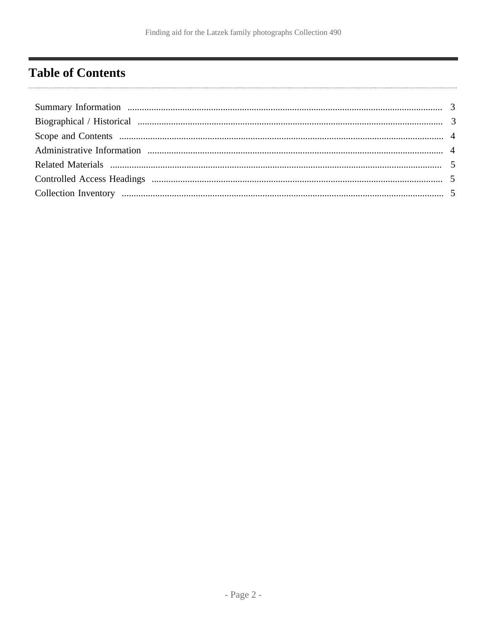## <span id="page-1-0"></span>**Table of Contents**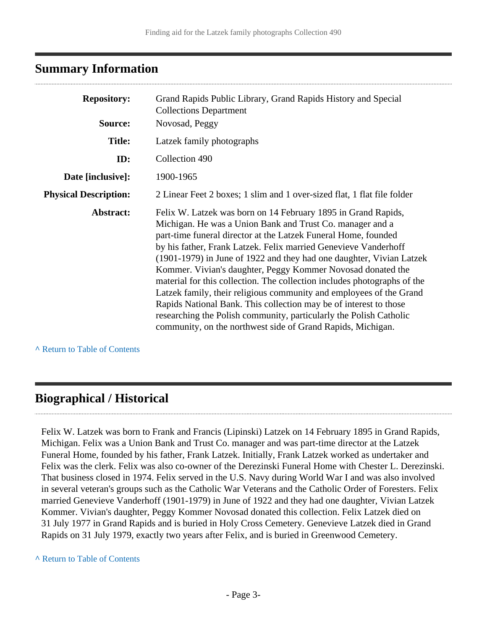### <span id="page-2-0"></span>**Summary Information**

| <b>Repository:</b>           | Grand Rapids Public Library, Grand Rapids History and Special                                                                                                                                                                                                                                                                                                                                                                                                                                                                                                                                                                                                                                                                                                       |  |  |  |
|------------------------------|---------------------------------------------------------------------------------------------------------------------------------------------------------------------------------------------------------------------------------------------------------------------------------------------------------------------------------------------------------------------------------------------------------------------------------------------------------------------------------------------------------------------------------------------------------------------------------------------------------------------------------------------------------------------------------------------------------------------------------------------------------------------|--|--|--|
| Source:                      | <b>Collections Department</b><br>Novosad, Peggy                                                                                                                                                                                                                                                                                                                                                                                                                                                                                                                                                                                                                                                                                                                     |  |  |  |
| <b>Title:</b>                | Latzek family photographs                                                                                                                                                                                                                                                                                                                                                                                                                                                                                                                                                                                                                                                                                                                                           |  |  |  |
| ID:                          | Collection 490                                                                                                                                                                                                                                                                                                                                                                                                                                                                                                                                                                                                                                                                                                                                                      |  |  |  |
| Date [inclusive]:            | 1900-1965                                                                                                                                                                                                                                                                                                                                                                                                                                                                                                                                                                                                                                                                                                                                                           |  |  |  |
| <b>Physical Description:</b> | 2 Linear Feet 2 boxes; 1 slim and 1 over-sized flat, 1 flat file folder                                                                                                                                                                                                                                                                                                                                                                                                                                                                                                                                                                                                                                                                                             |  |  |  |
| Abstract:                    | Felix W. Latzek was born on 14 February 1895 in Grand Rapids,<br>Michigan. He was a Union Bank and Trust Co. manager and a<br>part-time funeral director at the Latzek Funeral Home, founded<br>by his father, Frank Latzek. Felix married Genevieve Vanderhoff<br>(1901-1979) in June of 1922 and they had one daughter, Vivian Latzek<br>Kommer. Vivian's daughter, Peggy Kommer Novosad donated the<br>material for this collection. The collection includes photographs of the<br>Latzek family, their religious community and employees of the Grand<br>Rapids National Bank. This collection may be of interest to those<br>researching the Polish community, particularly the Polish Catholic<br>community, on the northwest side of Grand Rapids, Michigan. |  |  |  |

**^** [Return to Table of Contents](#page-1-0)

### <span id="page-2-1"></span>**Biographical / Historical**

Felix W. Latzek was born to Frank and Francis (Lipinski) Latzek on 14 February 1895 in Grand Rapids, Michigan. Felix was a Union Bank and Trust Co. manager and was part-time director at the Latzek Funeral Home, founded by his father, Frank Latzek. Initially, Frank Latzek worked as undertaker and Felix was the clerk. Felix was also co-owner of the Derezinski Funeral Home with Chester L. Derezinski. That business closed in 1974. Felix served in the U.S. Navy during World War I and was also involved in several veteran's groups such as the Catholic War Veterans and the Catholic Order of Foresters. Felix married Genevieve Vanderhoff (1901-1979) in June of 1922 and they had one daughter, Vivian Latzek Kommer. Vivian's daughter, Peggy Kommer Novosad donated this collection. Felix Latzek died on 31 July 1977 in Grand Rapids and is buried in Holy Cross Cemetery. Genevieve Latzek died in Grand Rapids on 31 July 1979, exactly two years after Felix, and is buried in Greenwood Cemetery.

#### **^** [Return to Table of Contents](#page-1-0)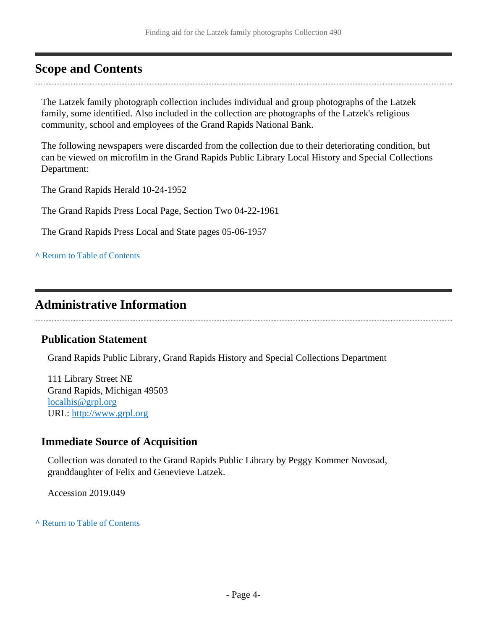### <span id="page-3-0"></span>**Scope and Contents**

The Latzek family photograph collection includes individual and group photographs of the Latzek family, some identified. Also included in the collection are photographs of the Latzek's religious community, school and employees of the Grand Rapids National Bank.

The following newspapers were discarded from the collection due to their deteriorating condition, but can be viewed on microfilm in the Grand Rapids Public Library Local History and Special Collections Department:

The Grand Rapids Herald 10-24-1952

The Grand Rapids Press Local Page, Section Two 04-22-1961

The Grand Rapids Press Local and State pages 05-06-1957

**^** [Return to Table of Contents](#page-1-0)

### <span id="page-3-1"></span>**Administrative Information**

#### **Publication Statement**

Grand Rapids Public Library, Grand Rapids History and Special Collections Department

111 Library Street NE Grand Rapids, Michigan 49503 [localhis@grpl.org](mailto:localhis@grpl.org) URL:<http://www.grpl.org>

#### **Immediate Source of Acquisition**

Collection was donated to the Grand Rapids Public Library by Peggy Kommer Novosad, granddaughter of Felix and Genevieve Latzek.

Accession 2019.049

**^** [Return to Table of Contents](#page-1-0)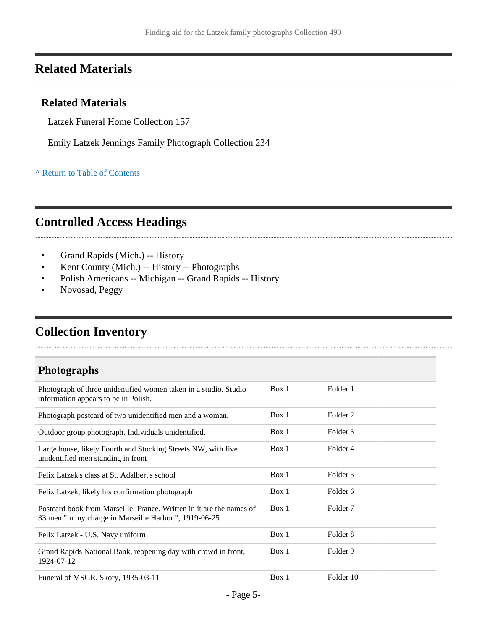### <span id="page-4-0"></span>**Related Materials**

#### **Related Materials**

Latzek Funeral Home Collection 157

Emily Latzek Jennings Family Photograph Collection 234

**^** [Return to Table of Contents](#page-1-0)

### <span id="page-4-1"></span>**Controlled Access Headings**

- Grand Rapids (Mich.) -- History
- Kent County (Mich.) -- History -- Photographs
- Polish Americans -- Michigan -- Grand Rapids -- History
- Novosad, Peggy

### <span id="page-4-2"></span>**Collection Inventory**

### **Photographs**

...................................

| Photograph of three unidentified women taken in a studio. Studio<br>information appears to be in Polish.                       | Box 1 | Folder 1            |
|--------------------------------------------------------------------------------------------------------------------------------|-------|---------------------|
| Photograph postcard of two unidentified men and a woman.                                                                       | Box 1 | Folder 2            |
| Outdoor group photograph. Individuals unidentified.                                                                            | Box 1 | Folder 3            |
| Large house, likely Fourth and Stocking Streets NW, with five<br>unidentified men standing in front                            | Box 1 | Folder 4            |
| Felix Latzek's class at St. Adalbert's school                                                                                  | Box 1 | Folder 5            |
| Felix Latzek, likely his confirmation photograph                                                                               | Box 1 | Folder 6            |
| Postcard book from Marseille, France. Written in it are the names of<br>33 men "in my charge in Marseille Harbor.", 1919-06-25 | Box 1 | Folder 7            |
| Felix Latzek - U.S. Navy uniform                                                                                               | Box 1 | Folder <sub>8</sub> |
| Grand Rapids National Bank, reopening day with crowd in front,<br>1924-07-12                                                   | Box 1 | Folder 9            |
| Funeral of MSGR. Skory, 1935-03-11                                                                                             | Box 1 | Folder 10           |